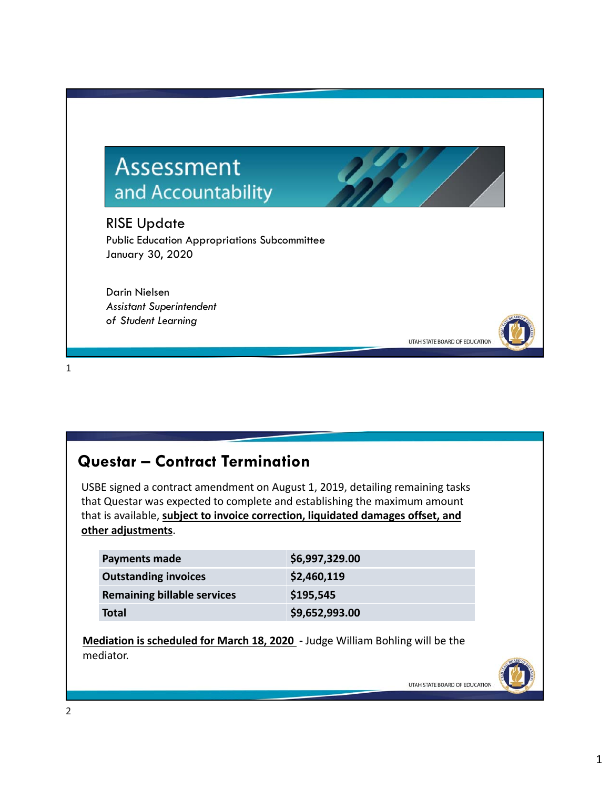# Assessment and Accountability

RISE Update Public Education Appropriations Subcommittee January 30, 2020

Darin Nielsen *Assistant Superintendent of Student Learning*

1

### **Questar – Contract Termination**

USBE signed a contract amendment on August 1, 2019, detailing remaining tasks that Questar was expected to complete and establishing the maximum amount that is available, **subject to invoice correction, liquidated damages offset, and other adjustments**.

| Payments made                      | \$6,997,329.00 |
|------------------------------------|----------------|
| <b>Outstanding invoices</b>        | \$2,460,119    |
| <b>Remaining billable services</b> | \$195,545      |
| <b>Total</b>                       | \$9,652,993.00 |

**Mediation is scheduled for March 18, 2020 ‐** Judge William Bohling will be the mediator.



UTAH STATE BOARD OF EDUCATION

UTAH STATE BOARD OF EDUCATION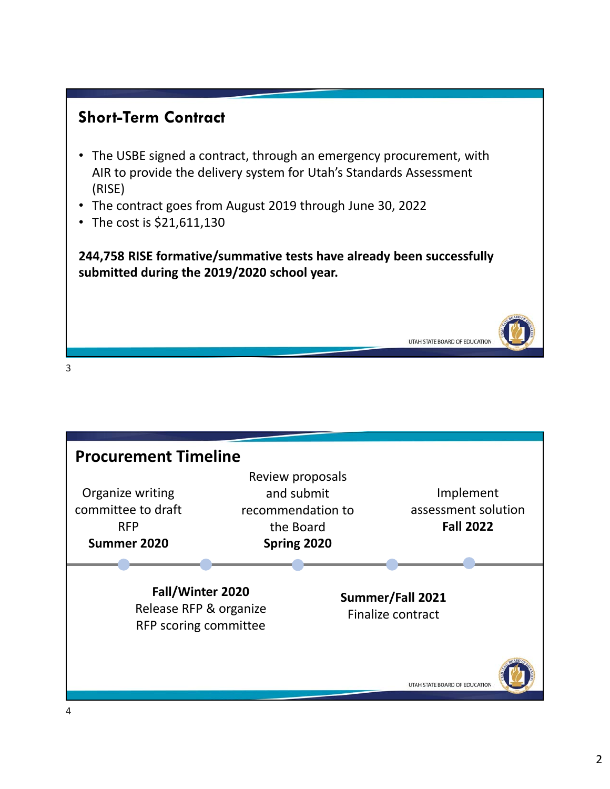# **Short-Term Contract**

- The USBE signed a contract, through an emergency procurement, with AIR to provide the delivery system for Utah's Standards Assessment (RISE)
- The contract goes from August 2019 through June 30, 2022
- The cost is \$21,611,130

**244,758 RISE formative/summative tests have already been successfully submitted during the 2019/2020 school year.**

UTAH STATE BOARD OF EDUCATION



3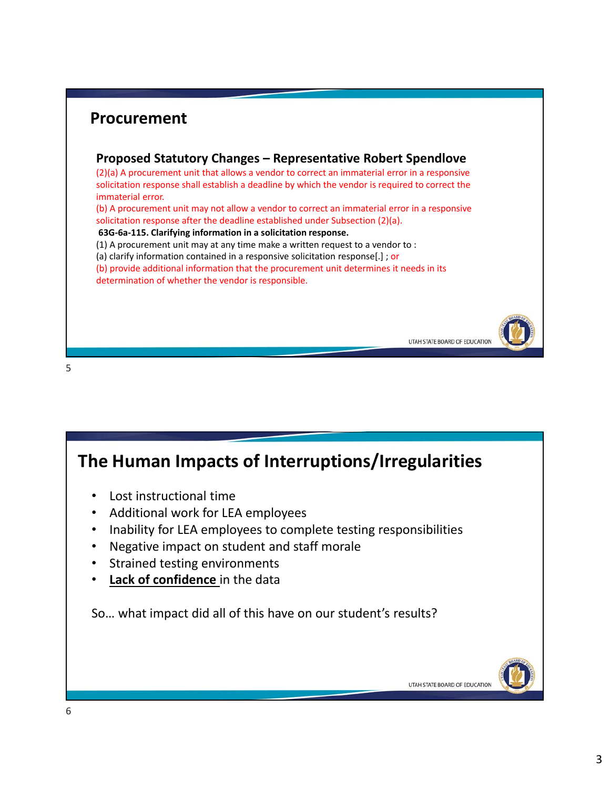### **Procurement Proposed Statutory Changes – Representative Robert Spendlove** (2)(a) A procurement unit that allows a vendor to correct an immaterial error in a responsive solicitation response shall establish a deadline by which the vendor is required to correct the immaterial error. (b) A procurement unit may not allow a vendor to correct an immaterial error in a responsive solicitation response after the deadline established under Subsection (2)(a). **63G‐6a‐115. Clarifying information in a solicitation response.** (1) A procurement unit may at any time make a written request to a vendor to : (a) clarify information contained in a responsive solicitation response[.] ; or (b) provide additional information that the procurement unit determines it needs in its determination of whether the vendor is responsible. UTAH STATE BOARD OF EDUCATION

#### 5

### **The Human Impacts of Interruptions/Irregularities**

- Lost instructional time
- Additional work for LEA employees
- Inability for LEA employees to complete testing responsibilities
- Negative impact on student and staff morale
- Strained testing environments
- **Lack of confidence** in the data

So… what impact did all of this have on our student's results?

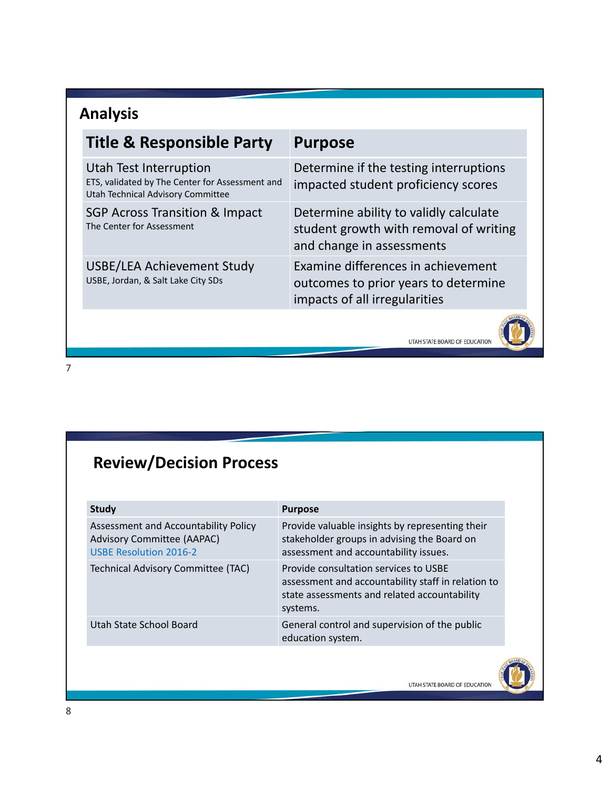# **Analysis**

| <b>Title &amp; Responsible Party</b>                                                                           | <b>Purpose</b>                                                                                                |
|----------------------------------------------------------------------------------------------------------------|---------------------------------------------------------------------------------------------------------------|
| Utah Test Interruption<br>ETS, validated by The Center for Assessment and<br>Utah Technical Advisory Committee | Determine if the testing interruptions<br>impacted student proficiency scores                                 |
| <b>SGP Across Transition &amp; Impact</b><br>The Center for Assessment                                         | Determine ability to validly calculate<br>student growth with removal of writing<br>and change in assessments |
| USBE/LEA Achievement Study<br>USBE, Jordan, & Salt Lake City SDs                                               | Examine differences in achievement<br>outcomes to prior years to determine<br>impacts of all irregularities   |
|                                                                                                                | <b>ACARD</b>                                                                                                  |

UTAH STATE BOARD OF EDUCATION

7

# **Review/Decision Process**

| Provide valuable insights by representing their<br>stakeholder groups in advising the Board on<br>assessment and accountability issues.<br>Provide consultation services to USBE |
|----------------------------------------------------------------------------------------------------------------------------------------------------------------------------------|
|                                                                                                                                                                                  |
| assessment and accountability staff in relation to<br>state assessments and related accountability<br>systems.                                                                   |
| General control and supervision of the public<br>education system.                                                                                                               |
|                                                                                                                                                                                  |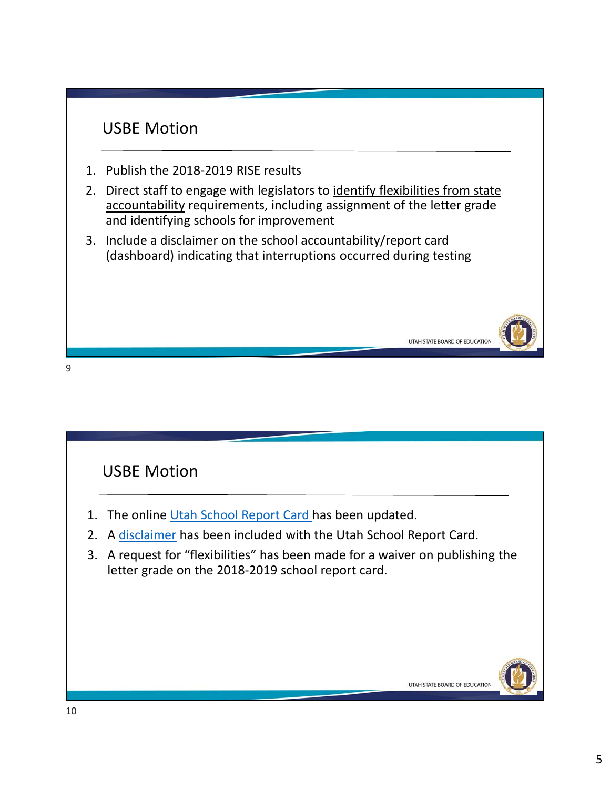

9



- 1. The online Utah School Report Card has been updated.
- 2. A disclaimer has been included with the Utah School Report Card.
- 3. A request for "flexibilities" has been made for a waiver on publishing the letter grade on the 2018‐2019 school report card.